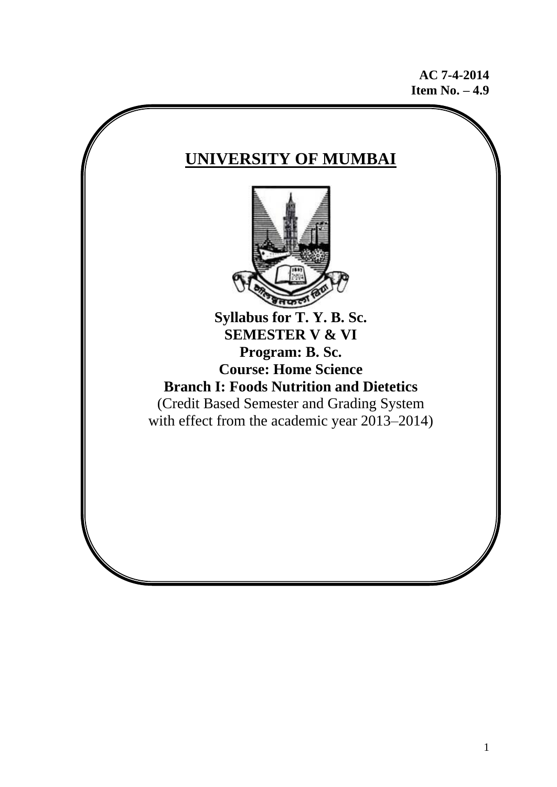**AC 7-4-2014 Item No. – 4.9**

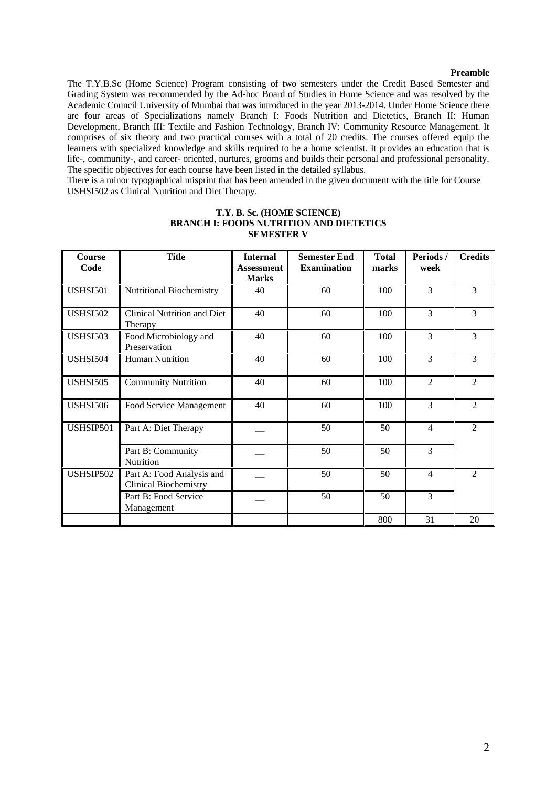#### **Preamble**

The T.Y.B.Sc (Home Science) Program consisting of two semesters under the Credit Based Semester and Grading System was recommended by the Ad-hoc Board of Studies in Home Science and was resolved by the Academic Council University of Mumbai that was introduced in the year 2013-2014. Under Home Science there are four areas of Specializations namely Branch I: Foods Nutrition and Dietetics, Branch II: Human Development, Branch III: Textile and Fashion Technology, Branch IV: Community Resource Management. It comprises of six theory and two practical courses with a total of 20 credits. The courses offered equip the learners with specialized knowledge and skills required to be a home scientist. It provides an education that is life-, community-, and career- oriented, nurtures, grooms and builds their personal and professional personality. The specific objectives for each course have been listed in the detailed syllabus.

There is a minor typographical misprint that has been amended in the given document with the title for Course USHSI502 as Clinical Nutrition and Diet Therapy.

| <b>Course</b>   | <b>Title</b>                                              | <b>Internal</b>   | <b>Semester End</b> | <b>Total</b> | Periods/       | <b>Credits</b> |
|-----------------|-----------------------------------------------------------|-------------------|---------------------|--------------|----------------|----------------|
| Code            |                                                           | <b>Assessment</b> | <b>Examination</b>  | marks        | week           |                |
|                 |                                                           | <b>Marks</b>      |                     |              |                |                |
| <b>USHSI501</b> | Nutritional Biochemistry                                  | 40                | 60                  | 100          | 3              | 3              |
| <b>USHSI502</b> | Clinical Nutrition and Diet<br>Therapy                    | 40                | 60                  | 100          | 3              | 3              |
| <b>USHSI503</b> | Food Microbiology and<br>Preservation                     | 40                | 60                  | 100          | 3              | 3              |
| <b>USHSI504</b> | <b>Human Nutrition</b>                                    | 40                | 60                  | 100          | 3              | 3              |
| <b>USHSI505</b> | <b>Community Nutrition</b>                                | 40                | 60                  | 100          | $\overline{2}$ | $\overline{2}$ |
| <b>USHSI506</b> | Food Service Management                                   | 40                | 60                  | 100          | 3              | $\overline{2}$ |
| USHSIP501       | Part A: Diet Therapy                                      |                   | 50                  | 50           | $\overline{4}$ | $\overline{2}$ |
|                 | Part B: Community<br>Nutrition                            |                   | 50                  | 50           | 3              |                |
| USHSIP502       | Part A: Food Analysis and<br><b>Clinical Biochemistry</b> |                   | 50                  | 50           | $\overline{4}$ | $\overline{2}$ |
|                 | Part B: Food Service<br>Management                        |                   | 50                  | 50           | 3              |                |
|                 |                                                           |                   |                     | 800          | 31             | 20             |

# **T.Y. B. Sc. (HOME SCIENCE) BRANCH I: FOODS NUTRITION AND DIETETICS SEMESTER V**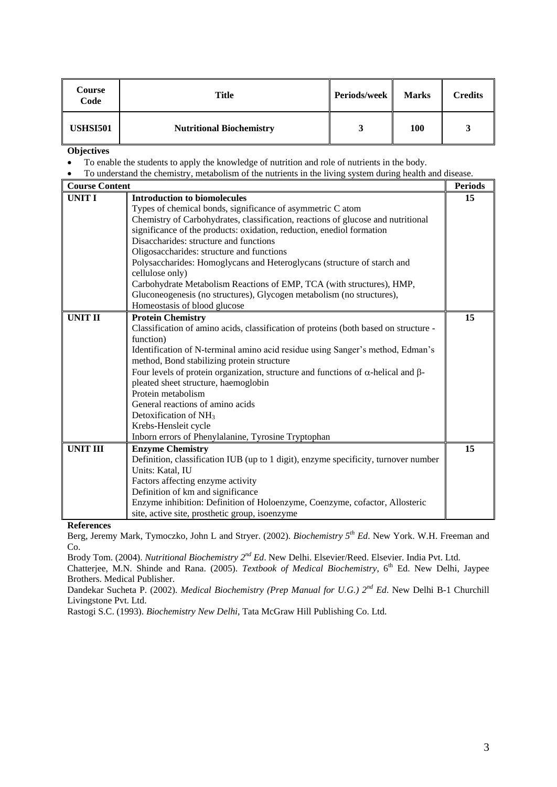| Course<br>Code  | Title                           | Periods/week | <b>Marks</b> | <b>Credits</b> |
|-----------------|---------------------------------|--------------|--------------|----------------|
| <b>USHSI501</b> | <b>Nutritional Biochemistry</b> |              | 100          |                |

- To enable the students to apply the knowledge of nutrition and role of nutrients in the body.
- To understand the chemistry, metabolism of the nutrients in the living system during health and disease.

| <b>Course Content</b> |                                                                                                 | <b>Periods</b> |
|-----------------------|-------------------------------------------------------------------------------------------------|----------------|
| <b>UNIT I</b>         | <b>Introduction to biomolecules</b>                                                             | 15             |
|                       | Types of chemical bonds, significance of asymmetric C atom                                      |                |
|                       | Chemistry of Carbohydrates, classification, reactions of glucose and nutritional                |                |
|                       | significance of the products: oxidation, reduction, enediol formation                           |                |
|                       | Disaccharides: structure and functions                                                          |                |
|                       | Oligosaccharides: structure and functions                                                       |                |
|                       | Polysaccharides: Homoglycans and Heteroglycans (structure of starch and                         |                |
|                       | cellulose only)                                                                                 |                |
|                       | Carbohydrate Metabolism Reactions of EMP, TCA (with structures), HMP,                           |                |
|                       | Gluconeogenesis (no structures), Glycogen metabolism (no structures),                           |                |
|                       | Homeostasis of blood glucose                                                                    |                |
| <b>UNIT II</b>        | <b>Protein Chemistry</b>                                                                        | 15             |
|                       | Classification of amino acids, classification of proteins (both based on structure -            |                |
|                       | function)                                                                                       |                |
|                       | Identification of N-terminal amino acid residue using Sanger's method, Edman's                  |                |
|                       | method, Bond stabilizing protein structure                                                      |                |
|                       | Four levels of protein organization, structure and functions of $\alpha$ -helical and $\beta$ - |                |
|                       | pleated sheet structure, haemoglobin                                                            |                |
|                       | Protein metabolism                                                                              |                |
|                       | General reactions of amino acids                                                                |                |
|                       | Detoxification of NH <sub>3</sub>                                                               |                |
|                       | Krebs-Hensleit cycle                                                                            |                |
|                       | Inborn errors of Phenylalanine, Tyrosine Tryptophan                                             |                |
| <b>UNIT III</b>       | <b>Enzyme Chemistry</b>                                                                         | 15             |
|                       | Definition, classification IUB (up to 1 digit), enzyme specificity, turnover number             |                |
|                       | Units: Katal, IU                                                                                |                |
|                       | Factors affecting enzyme activity                                                               |                |
|                       | Definition of km and significance                                                               |                |
|                       | Enzyme inhibition: Definition of Holoenzyme, Coenzyme, cofactor, Allosteric                     |                |
|                       | site, active site, prosthetic group, isoenzyme                                                  |                |

**References**

Berg, Jeremy Mark, Tymoczko, John L and Stryer. (2002). *Biochemistry*  $5<sup>th</sup> Ed$ . New York. W.H. Freeman and Co.

Brody Tom. (2004). *Nutritional Biochemistry 2nd Ed*. New Delhi. Elsevier/Reed. Elsevier. India Pvt. Ltd.

Chatterjee, M.N. Shinde and Rana. (2005). *Textbook of Medical Biochemistry*, 6<sup>th</sup> Ed. New Delhi, Jaypee Brothers. Medical Publisher.

Dandekar Sucheta P. (2002). *Medical Biochemistry (Prep Manual for U.G.) 2nd Ed*. New Delhi B-1 Churchill Livingstone Pvt. Ltd.

Rastogi S.C. (1993). *Biochemistry New Delhi*, Tata McGraw Hill Publishing Co. Ltd.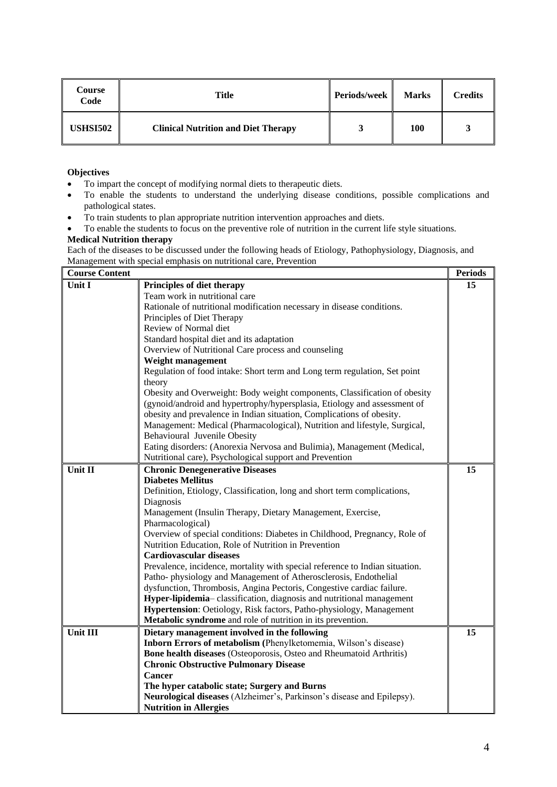| Course<br>Code  | Title                                      | Periods/week | <b>Marks</b> | <b>Credits</b> |
|-----------------|--------------------------------------------|--------------|--------------|----------------|
| <b>USHSI502</b> | <b>Clinical Nutrition and Diet Therapy</b> |              | 100          |                |

- To impart the concept of modifying normal diets to therapeutic diets.
- To enable the students to understand the underlying disease conditions, possible complications and pathological states.
- To train students to plan appropriate nutrition intervention approaches and diets.
- To enable the students to focus on the preventive role of nutrition in the current life style situations.

# **Medical Nutrition therapy**

Each of the diseases to be discussed under the following heads of Etiology, Pathophysiology, Diagnosis, and Management with special emphasis on nutritional care, Prevention

| <b>Course Content</b> |                                                                              | <b>Periods</b> |
|-----------------------|------------------------------------------------------------------------------|----------------|
| <b>Unit I</b>         | Principles of diet therapy                                                   | 15             |
|                       | Team work in nutritional care                                                |                |
|                       | Rationale of nutritional modification necessary in disease conditions.       |                |
|                       | Principles of Diet Therapy                                                   |                |
|                       | Review of Normal diet                                                        |                |
|                       | Standard hospital diet and its adaptation                                    |                |
|                       | Overview of Nutritional Care process and counseling                          |                |
|                       | Weight management                                                            |                |
|                       | Regulation of food intake: Short term and Long term regulation, Set point    |                |
|                       | theory                                                                       |                |
|                       | Obesity and Overweight: Body weight components, Classification of obesity    |                |
|                       | (gynoid/android and hypertrophy/hypersplasia, Etiology and assessment of     |                |
|                       | obesity and prevalence in Indian situation, Complications of obesity.        |                |
|                       | Management: Medical (Pharmacological), Nutrition and lifestyle, Surgical,    |                |
|                       | Behavioural Juvenile Obesity                                                 |                |
|                       | Eating disorders: (Anorexia Nervosa and Bulimia), Management (Medical,       |                |
|                       | Nutritional care), Psychological support and Prevention                      |                |
| Unit II               | <b>Chronic Denegenerative Diseases</b>                                       | 15             |
|                       | <b>Diabetes Mellitus</b>                                                     |                |
|                       | Definition, Etiology, Classification, long and short term complications,     |                |
|                       | Diagnosis                                                                    |                |
|                       | Management (Insulin Therapy, Dietary Management, Exercise,                   |                |
|                       | Pharmacological)                                                             |                |
|                       | Overview of special conditions: Diabetes in Childhood, Pregnancy, Role of    |                |
|                       | Nutrition Education, Role of Nutrition in Prevention                         |                |
|                       | <b>Cardiovascular diseases</b>                                               |                |
|                       | Prevalence, incidence, mortality with special reference to Indian situation. |                |
|                       | Patho-physiology and Management of Atherosclerosis, Endothelial              |                |
|                       | dysfunction, Thrombosis, Angina Pectoris, Congestive cardiac failure.        |                |
|                       | Hyper-lipidemia-classification, diagnosis and nutritional management         |                |
|                       | Hypertension: Oetiology, Risk factors, Patho-physiology, Management          |                |
|                       | Metabolic syndrome and role of nutrition in its prevention.                  |                |
| Unit III              | Dietary management involved in the following                                 | 15             |
|                       | Inborn Errors of metabolism (Phenylketomemia, Wilson's disease)              |                |
|                       | <b>Bone health diseases (Osteoporosis, Osteo and Rheumatoid Arthritis)</b>   |                |
|                       | <b>Chronic Obstructive Pulmonary Disease</b>                                 |                |
|                       | <b>Cancer</b>                                                                |                |
|                       | The hyper catabolic state; Surgery and Burns                                 |                |
|                       | Neurological diseases (Alzheimer's, Parkinson's disease and Epilepsy).       |                |
|                       | <b>Nutrition in Allergies</b>                                                |                |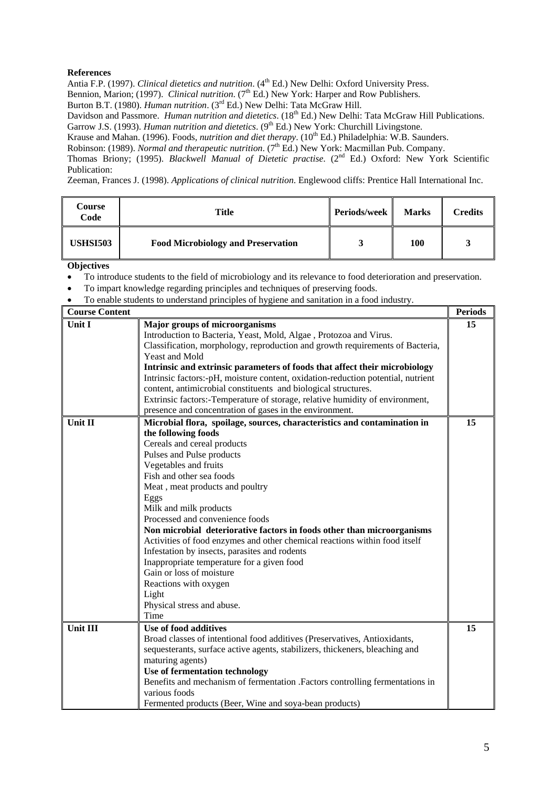Antia F.P. (1997). *Clinical dietetics and nutrition*. (4<sup>th</sup> Ed.) New Delhi: Oxford University Press. Bennion, Marion; (1997). *Clinical nutrition*. (7<sup>th</sup> Ed.) New York: Harper and Row Publishers.

Burton B.T. (1980). *Human nutrition*. (3rd Ed.) New Delhi: Tata McGraw Hill.

Davidson and Passmore. *Human nutrition and dietetics*. (18<sup>th</sup> Ed.) New Delhi: Tata McGraw Hill Publications. Garrow J.S. (1993). *Human nutrition and dietetics*. (9<sup>th</sup> Ed.) New York: Churchill Livingstone.

Krause and Mahan. (1996). Foods, *nutrition and diet therapy*. (10<sup>th</sup> Ed.) Philadelphia: W.B. Saunders.

Robinson: (1989). *Normal and therapeutic nutrition*. (7<sup>th</sup> Ed.) New York: Macmillan Pub. Company.

Thomas Briony; (1995). *Blackwell Manual of Dietetic practise*. (2nd Ed.) Oxford: New York Scientific Publication:

Zeeman, Frances J. (1998). *Applications of clinical nutrition*. Englewood cliffs: Prentice Hall International Inc.

| Course<br>Code  | Title                                     | <b>Periods/week</b> | <b>Marks</b> | Credits |
|-----------------|-------------------------------------------|---------------------|--------------|---------|
| <b>USHSI503</b> | <b>Food Microbiology and Preservation</b> |                     | 100          |         |

- To introduce students to the field of microbiology and its relevance to food deterioration and preservation.
- To impart knowledge regarding principles and techniques of preserving foods.
- To enable students to understand principles of hygiene and sanitation in a food industry.

| <b>Course Content</b> |                                                                                  | <b>Periods</b> |
|-----------------------|----------------------------------------------------------------------------------|----------------|
| Unit I                | <b>Major groups of microorganisms</b>                                            | 15             |
|                       | Introduction to Bacteria, Yeast, Mold, Algae, Protozoa and Virus.                |                |
|                       | Classification, morphology, reproduction and growth requirements of Bacteria,    |                |
|                       | Yeast and Mold                                                                   |                |
|                       | Intrinsic and extrinsic parameters of foods that affect their microbiology       |                |
|                       | Intrinsic factors:-pH, moisture content, oxidation-reduction potential, nutrient |                |
|                       | content, antimicrobial constituents and biological structures.                   |                |
|                       | Extrinsic factors:-Temperature of storage, relative humidity of environment,     |                |
|                       | presence and concentration of gases in the environment.                          |                |
| Unit II               | Microbial flora, spoilage, sources, characteristics and contamination in         | 15             |
|                       | the following foods                                                              |                |
|                       | Cereals and cereal products                                                      |                |
|                       | Pulses and Pulse products                                                        |                |
|                       | Vegetables and fruits                                                            |                |
|                       | Fish and other sea foods                                                         |                |
|                       | Meat, meat products and poultry                                                  |                |
|                       | Eggs                                                                             |                |
|                       | Milk and milk products                                                           |                |
|                       | Processed and convenience foods                                                  |                |
|                       | Non microbial deteriorative factors in foods other than microorganisms           |                |
|                       | Activities of food enzymes and other chemical reactions within food itself       |                |
|                       | Infestation by insects, parasites and rodents                                    |                |
|                       | Inappropriate temperature for a given food                                       |                |
|                       | Gain or loss of moisture                                                         |                |
|                       | Reactions with oxygen                                                            |                |
|                       | Light                                                                            |                |
|                       | Physical stress and abuse.                                                       |                |
|                       | Time                                                                             |                |
| <b>Unit III</b>       | Use of food additives                                                            | 15             |
|                       | Broad classes of intentional food additives (Preservatives, Antioxidants,        |                |
|                       | sequesterants, surface active agents, stabilizers, thickeners, bleaching and     |                |
|                       | maturing agents)                                                                 |                |
|                       | Use of fermentation technology                                                   |                |
|                       | Benefits and mechanism of fermentation .Factors controlling fermentations in     |                |
|                       | various foods                                                                    |                |
|                       | Fermented products (Beer, Wine and soya-bean products)                           |                |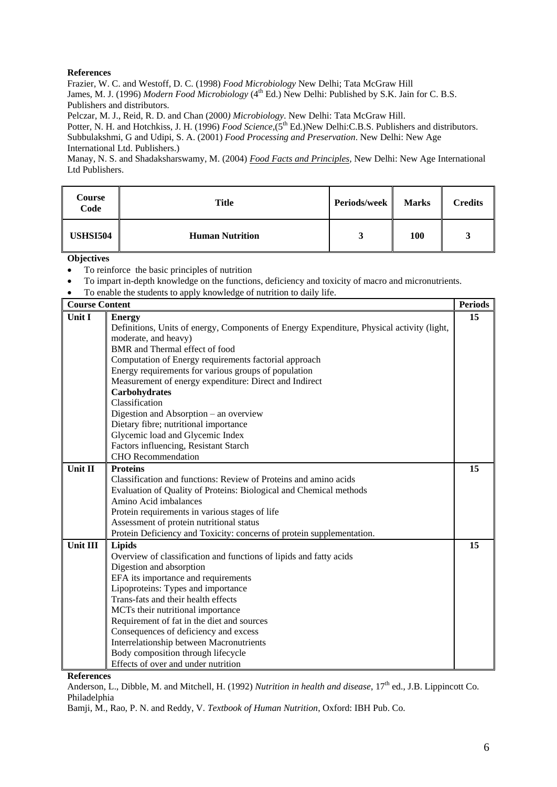Frazier, W. C. and Westoff, D. C. (1998) *Food Microbiology* New Delhi; Tata McGraw Hill James, M. J. (1996) *Modern Food Microbiology* (4<sup>th</sup> Ed.) New Delhi: Published by S.K. Jain for C. B.S. Publishers and distributors.

Pelczar, M. J., Reid, R. D. and Chan (2000*) Microbiology*. New Delhi: Tata McGraw Hill.

Potter, N. H. and Hotchkiss, J. H. (1996) *Food Science*,(5<sup>th</sup> Ed.)New Delhi:C.B.S. Publishers and distributors. Subbulakshmi, G and Udipi, S. A. (2001) *Food Processing and Preservation*. New Delhi: New Age International Ltd. Publishers.)

Manay, N. S. and Shadaksharswamy, M. (2004) *Food Facts and Principles,* New Delhi: New Age International Ltd Publishers.

| Course<br>Code  | Title                  | <b>Periods/week</b> | <b>Marks</b> | Credits |
|-----------------|------------------------|---------------------|--------------|---------|
| <b>USHSI504</b> | <b>Human Nutrition</b> |                     | <b>100</b>   |         |

**Objectives**

- To reinforce the basic principles of nutrition
- To impart in-depth knowledge on the functions, deficiency and toxicity of macro and micronutrients.
- To enable the students to apply knowledge of nutrition to daily life.

| <b>Course Content</b> |                                                                                           | <b>Periods</b> |  |  |
|-----------------------|-------------------------------------------------------------------------------------------|----------------|--|--|
| Unit I                | <b>Energy</b>                                                                             | 15             |  |  |
|                       | Definitions, Units of energy, Components of Energy Expenditure, Physical activity (light, |                |  |  |
|                       | moderate, and heavy)                                                                      |                |  |  |
|                       | BMR and Thermal effect of food                                                            |                |  |  |
|                       | Computation of Energy requirements factorial approach                                     |                |  |  |
|                       | Energy requirements for various groups of population                                      |                |  |  |
|                       | Measurement of energy expenditure: Direct and Indirect                                    |                |  |  |
|                       | Carbohydrates                                                                             |                |  |  |
|                       | Classification                                                                            |                |  |  |
|                       | Digestion and Absorption - an overview                                                    |                |  |  |
|                       | Dietary fibre; nutritional importance                                                     |                |  |  |
|                       | Glycemic load and Glycemic Index                                                          |                |  |  |
|                       | Factors influencing, Resistant Starch                                                     |                |  |  |
|                       | <b>CHO</b> Recommendation                                                                 |                |  |  |
| Unit II               | <b>Proteins</b>                                                                           | 15             |  |  |
|                       | Classification and functions: Review of Proteins and amino acids                          |                |  |  |
|                       | Evaluation of Quality of Proteins: Biological and Chemical methods                        |                |  |  |
|                       | Amino Acid imbalances                                                                     |                |  |  |
|                       | Protein requirements in various stages of life                                            |                |  |  |
|                       | Assessment of protein nutritional status                                                  |                |  |  |
|                       | Protein Deficiency and Toxicity: concerns of protein supplementation.                     |                |  |  |
| Unit III              | Lipids                                                                                    | 15             |  |  |
|                       | Overview of classification and functions of lipids and fatty acids                        |                |  |  |
|                       | Digestion and absorption                                                                  |                |  |  |
|                       | EFA its importance and requirements                                                       |                |  |  |
|                       | Lipoproteins: Types and importance                                                        |                |  |  |
|                       | Trans-fats and their health effects                                                       |                |  |  |
|                       | MCTs their nutritional importance                                                         |                |  |  |
|                       | Requirement of fat in the diet and sources                                                |                |  |  |
|                       | Consequences of deficiency and excess                                                     |                |  |  |
|                       | Interrelationship between Macronutrients                                                  |                |  |  |
|                       | Body composition through lifecycle                                                        |                |  |  |
|                       | Effects of over and under nutrition                                                       |                |  |  |

**References**

Anderson, L., Dibble, M. and Mitchell, H. (1992) *Nutrition in health and disease*, 17<sup>th</sup> ed., J.B. Lippincott Co. Philadelphia

Bamji, M., Rao, P. N. and Reddy, V. *Textbook of Human Nutrition*, Oxford: IBH Pub. Co.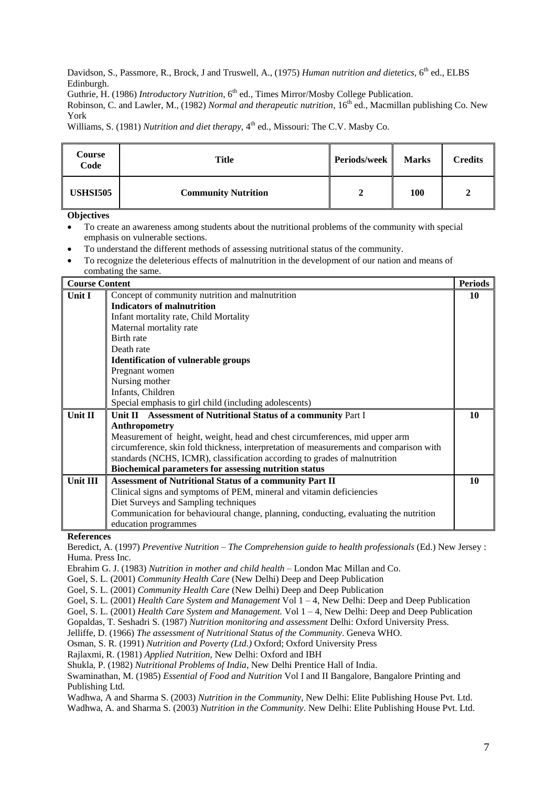Davidson, S., Passmore, R., Brock, J and Truswell, A., (1975) *Human nutrition and dietetics*, 6<sup>th</sup> ed., ELBS Edinburgh.

Guthrie, H. (1986) *Introductory Nutrition*, 6<sup>th</sup> ed., Times Mirror/Mosby College Publication.

Robinson, C. and Lawler, M., (1982) *Normal and therapeutic nutrition*, 16th ed., Macmillan publishing Co. New York

Williams, S. (1981) *Nutrition and diet therapy*, 4<sup>th</sup> ed., Missouri: The C.V. Masby Co.

| Course<br>Code  | Title                      | Periods/week | <b>Marks</b> | <b>Credits</b> |
|-----------------|----------------------------|--------------|--------------|----------------|
| <b>USHSI505</b> | <b>Community Nutrition</b> |              | 100          |                |

**Objectives**

- To create an awareness among students about the nutritional problems of the community with special emphasis on vulnerable sections.
- To understand the different methods of assessing nutritional status of the community.
- To recognize the deleterious effects of malnutrition in the development of our nation and means of combating the same.

| <b>Course Content</b> |                                                                                        | <b>Periods</b> |
|-----------------------|----------------------------------------------------------------------------------------|----------------|
| Unit I                | Concept of community nutrition and malnutrition                                        | 10             |
|                       | <b>Indicators of malnutrition</b>                                                      |                |
|                       | Infant mortality rate, Child Mortality                                                 |                |
|                       | Maternal mortality rate                                                                |                |
|                       | Birth rate                                                                             |                |
|                       | Death rate                                                                             |                |
|                       | <b>Identification of vulnerable groups</b>                                             |                |
|                       | Pregnant women                                                                         |                |
|                       | Nursing mother                                                                         |                |
|                       | Infants, Children                                                                      |                |
|                       | Special emphasis to girl child (including adolescents)                                 |                |
| Unit II               | Unit II Assessment of Nutritional Status of a community Part I                         | 10             |
|                       | <b>Anthropometry</b>                                                                   |                |
|                       | Measurement of height, weight, head and chest circumferences, mid upper arm            |                |
|                       | circumference, skin fold thickness, interpretation of measurements and comparison with |                |
|                       | standards (NCHS, ICMR), classification according to grades of malnutrition             |                |
|                       | <b>Biochemical parameters for assessing nutrition status</b>                           |                |
| Unit III              | <b>Assessment of Nutritional Status of a community Part II</b>                         | 10             |
|                       | Clinical signs and symptoms of PEM, mineral and vitamin deficiencies                   |                |
|                       | Diet Surveys and Sampling techniques                                                   |                |
|                       | Communication for behavioural change, planning, conducting, evaluating the nutrition   |                |
|                       | education programmes                                                                   |                |
|                       |                                                                                        |                |

**References**

Beredict, A. (1997) *Preventive Nutrition – The Comprehension guide to health professionals* (Ed.) New Jersey : Huma. Press Inc.

Ebrahim G. J. (1983) *Nutrition in mother and child health* – London Mac Millan and Co.

Goel, S. L. (2001) *Community Health Care* (New Delhi) Deep and Deep Publication

Goel, S. L. (2001) *Community Health Care* (New Delhi) Deep and Deep Publication

Goel, S. L. (2001) *Health Care System and Management* Vol 1 – 4, New Delhi: Deep and Deep Publication

Goel, S. L. (2001) *Health Care System and Management.* Vol 1 – 4, New Delhi: Deep and Deep Publication

Gopaldas, T. Seshadri S. (1987) *Nutrition monitoring and assessment* Delhi: Oxford University Press.

Jelliffe, D. (1966) *The assessment of Nutritional Status of the Community*. Geneva WHO.

Osman, S. R. (1991) *Nutrition and Poverty (Ltd.)* Oxford; Oxford University Press

Rajlaxmi, R. (1981) *Applied Nutrition*, New Delhi: Oxford and IBH

Shukla, P. (1982) *Nutritional Problems of India*, New Delhi Prentice Hall of India.

Swaminathan, M. (1985) *Essential of Food and Nutrition* Vol I and II Bangalore, Bangalore Printing and Publishing Ltd.

Wadhwa, A and Sharma S. (2003) *Nutrition in the Community*, New Delhi: Elite Publishing House Pvt. Ltd. Wadhwa, A. and Sharma S. (2003) *Nutrition in the Community*. New Delhi: Elite Publishing House Pvt. Ltd.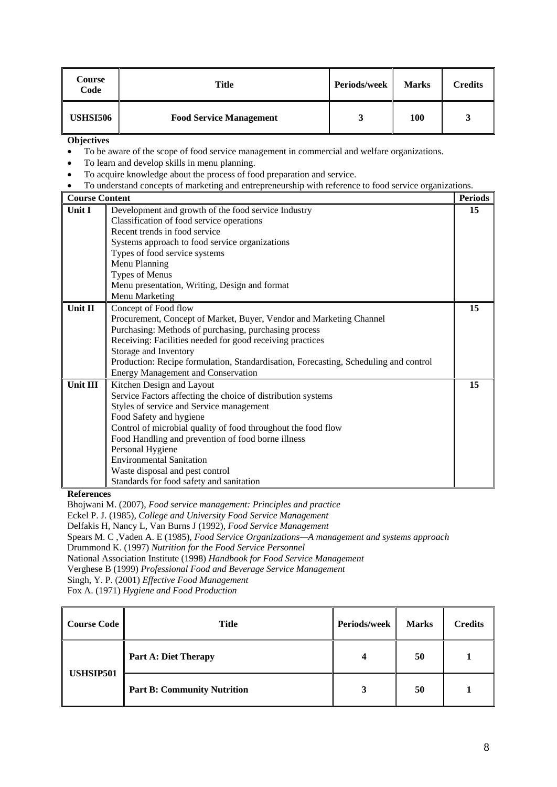| Course<br>Code  | Title                          | Periods/week | <b>Marks</b> | <b>Credits</b> |
|-----------------|--------------------------------|--------------|--------------|----------------|
| <b>USHSI506</b> | <b>Food Service Management</b> | لہ           | 100          | ມ              |

- To be aware of the scope of food service management in commercial and welfare organizations.
- To learn and develop skills in menu planning.
- To acquire knowledge about the process of food preparation and service.
- To understand concepts of marketing and entrepreneurship with reference to food service organizations.

| <b>Course Content</b> |                                                                                      | <b>Periods</b> |
|-----------------------|--------------------------------------------------------------------------------------|----------------|
| <b>Unit I</b>         | Development and growth of the food service Industry                                  | 15             |
|                       | Classification of food service operations                                            |                |
|                       | Recent trends in food service                                                        |                |
|                       | Systems approach to food service organizations                                       |                |
|                       | Types of food service systems                                                        |                |
|                       | Menu Planning                                                                        |                |
|                       | Types of Menus                                                                       |                |
|                       | Menu presentation, Writing, Design and format                                        |                |
|                       | Menu Marketing                                                                       |                |
| Unit II               | Concept of Food flow                                                                 | 15             |
|                       | Procurement, Concept of Market, Buyer, Vendor and Marketing Channel                  |                |
|                       | Purchasing: Methods of purchasing, purchasing process                                |                |
|                       | Receiving: Facilities needed for good receiving practices                            |                |
|                       | Storage and Inventory                                                                |                |
|                       | Production: Recipe formulation, Standardisation, Forecasting, Scheduling and control |                |
|                       | <b>Energy Management and Conservation</b>                                            |                |
| Unit III              | Kitchen Design and Layout                                                            | 15             |
|                       | Service Factors affecting the choice of distribution systems                         |                |
|                       | Styles of service and Service management                                             |                |
|                       | Food Safety and hygiene                                                              |                |
|                       | Control of microbial quality of food throughout the food flow                        |                |
|                       | Food Handling and prevention of food borne illness                                   |                |
|                       | Personal Hygiene                                                                     |                |
|                       | <b>Environmental Sanitation</b>                                                      |                |
|                       | Waste disposal and pest control                                                      |                |
|                       | Standards for food safety and sanitation                                             |                |

**References**

Bhojwani M. (2007), *Food service management: Principles and practice* Eckel P. J. (1985), *College and University Food Service Management* Delfakis H, Nancy L, Van Burns J (1992), *Food Service Management* Spears M. C ,Vaden A. E (1985), *Food Service Organizations—A management and systems approach* Drummond K. (1997) *Nutrition for the Food Service Personnel* National Association Institute (1998) *Handbook for Food Service Management* Verghese B (1999) *Professional Food and Beverage Service Management* Singh, Y. P. (2001) *Effective Food Management* Fox A. (1971) *Hygiene and Food Production*

| Course Code      | <b>Title</b>                       | Periods/week | <b>Marks</b> | <b>Credits</b> |
|------------------|------------------------------------|--------------|--------------|----------------|
| <b>USHSIP501</b> | <b>Part A: Diet Therapy</b>        | 4            | 50           |                |
|                  | <b>Part B: Community Nutrition</b> | 3            | 50           |                |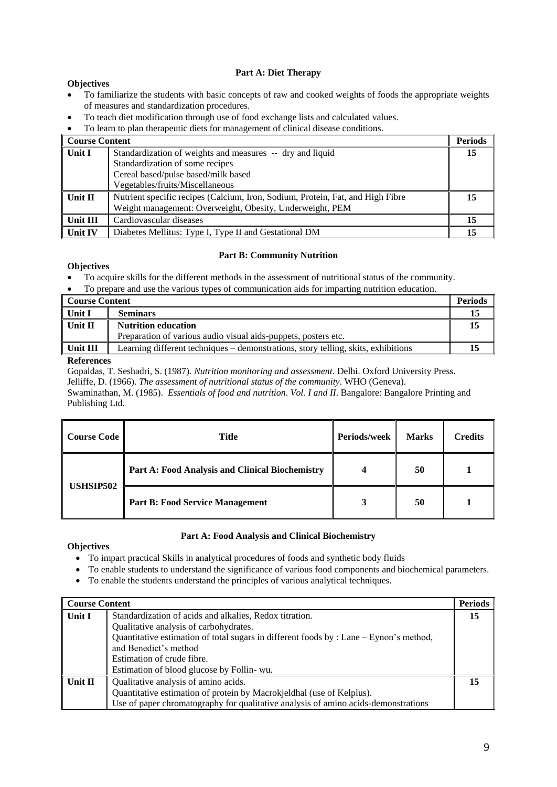# **Part A: Diet Therapy**

# **Objectives**

- To familiarize the students with basic concepts of raw and cooked weights of foods the appropriate weights of measures and standardization procedures.
- To teach diet modification through use of food exchange lists and calculated values.

To learn to plan therapeutic diets for management of clinical disease conditions.

| Course Content      |                                                                                | <b>Periods</b> |
|---------------------|--------------------------------------------------------------------------------|----------------|
| ∥ Unit I            | Standardization of weights and measures -- dry and liquid                      | 15             |
|                     | Standardization of some recipes                                                |                |
|                     | Cereal based/pulse based/milk based                                            |                |
|                     | Vegetables/fruits/Miscellaneous                                                |                |
| $\parallel$ Unit II | Nutrient specific recipes (Calcium, Iron, Sodium, Protein, Fat, and High Fibre | 15             |
|                     | Weight management: Overweight, Obesity, Underweight, PEM                       |                |
| Unit III            | Cardiovascular diseases                                                        |                |
| Unit IV             | Diabetes Mellitus: Type I, Type II and Gestational DM                          |                |

# **Part B: Community Nutrition**

# **Objectives**

- To acquire skills for the different methods in the assessment of nutritional status of the community.
- To prepare and use the various types of communication aids for imparting nutrition education.

| <b>Course Content</b> |                                                                                   | <b>Periods</b> |
|-----------------------|-----------------------------------------------------------------------------------|----------------|
| Unit I                | <b>Seminars</b>                                                                   | 15             |
| Unit II               | <b>Nutrition education</b>                                                        |                |
|                       | Preparation of various audio visual aids-puppets, posters etc.                    |                |
| Unit III              | Learning different techniques – demonstrations, story telling, skits, exhibitions |                |
| __                    |                                                                                   |                |

# **References**

Gopaldas, T. Seshadri, S. (1987). *Nutrition monitoring and assessment*. Delhi. Oxford University Press. Jelliffe, D. (1966). *The assessment of nutritional status of the community*. WHO (Geneva).

Swaminathan, M. (1985). *Essentials of food and nutrition*. *Vol. I and II*. Bangalore: Bangalore Printing and Publishing Ltd.

| <b>Course Code</b> | Periods/week<br>Title                           |  | <b>Marks</b> | <b>Credits</b> |
|--------------------|-------------------------------------------------|--|--------------|----------------|
| <b>USHSIP502</b>   | Part A: Food Analysis and Clinical Biochemistry |  | 50           |                |
|                    | <b>Part B: Food Service Management</b>          |  | 50           |                |

# **Part A: Food Analysis and Clinical Biochemistry**

- To impart practical Skills in analytical procedures of foods and synthetic body fluids
- To enable students to understand the significance of various food components and biochemical parameters.
- To enable the students understand the principles of various analytical techniques.

| <b>Course Content</b> |                                                                                          | <b>Periods</b> |
|-----------------------|------------------------------------------------------------------------------------------|----------------|
| Unit I                | Standardization of acids and alkalies, Redox titration.                                  |                |
|                       | Qualitative analysis of carbohydrates.                                                   |                |
|                       | Quantitative estimation of total sugars in different foods by : Lane $-$ Eynon's method, |                |
|                       | and Benedict's method                                                                    |                |
|                       | Estimation of crude fibre.                                                               |                |
|                       | Estimation of blood glucose by Follin- wu.                                               |                |
| Unit II               | Qualitative analysis of amino acids.                                                     |                |
|                       | Quantitative estimation of protein by Macrokjeldhal (use of Kelplus).                    |                |
|                       | Use of paper chromatography for qualitative analysis of amino acids-demonstrations       |                |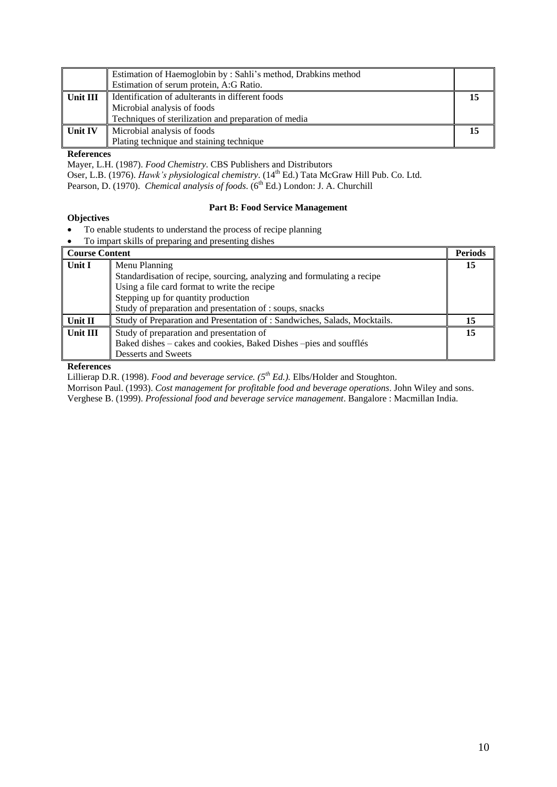|           | Estimation of Haemoglobin by: Sahli's method, Drabkins method<br>Estimation of serum protein, A:G Ratio.                                |  |
|-----------|-----------------------------------------------------------------------------------------------------------------------------------------|--|
| Unit III  | Identification of adulterants in different foods<br>Microbial analysis of foods<br>Techniques of sterilization and preparation of media |  |
| ∥ Unit IV | Microbial analysis of foods<br>Plating technique and staining technique                                                                 |  |

Mayer, L.H. (1987). *Food Chemistry*. CBS Publishers and Distributors Oser, L.B. (1976). *Hawk's physiological chemistry*. (14<sup>th</sup> Ed.) Tata McGraw Hill Pub. Co. Ltd. Pearson, D. (1970). *Chemical analysis of foods*. (6<sup>th</sup> Ed.) London: J. A. Churchill

# **Objectives**

# **Part B: Food Service Management**

- To enable students to understand the process of recipe planning
- To impart skills of preparing and presenting dishes

| <b>Course Content</b> | $\frac{1}{2}$ or proparing and problem                                    | <b>Periods</b> |
|-----------------------|---------------------------------------------------------------------------|----------------|
| Unit I                | Menu Planning                                                             | 15             |
|                       | Standardisation of recipe, sourcing, analyzing and formulating a recipe   |                |
|                       | Using a file card format to write the recipe                              |                |
|                       | Stepping up for quantity production                                       |                |
|                       | Study of preparation and presentation of : soups, snacks                  |                |
| Unit II               | Study of Preparation and Presentation of : Sandwiches, Salads, Mocktails. | 15             |
| Unit III              | Study of preparation and presentation of                                  | 15             |
|                       | Baked dishes – cakes and cookies, Baked Dishes –pies and soufflés         |                |
|                       | Desserts and Sweets                                                       |                |

## **References**

Lillierap D.R. (1998). *Food and beverage service. (5th Ed.).* Elbs/Holder and Stoughton.

Morrison Paul. (1993). *Cost management for profitable food and beverage operations*. John Wiley and sons.

Verghese B. (1999). *Professional food and beverage service management*. Bangalore : Macmillan India.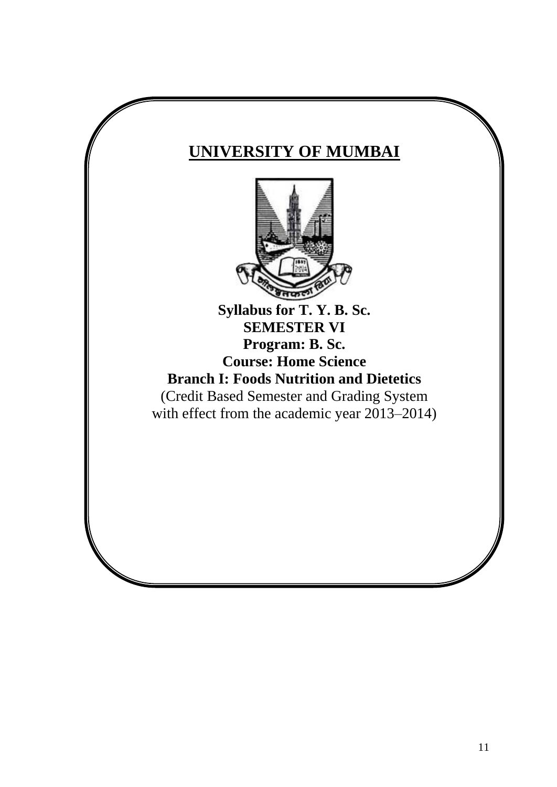# **UNIVERSITY OF MUMBAI**



(Credit Based Semester and Grading System with effect from the academic year 2013–2014)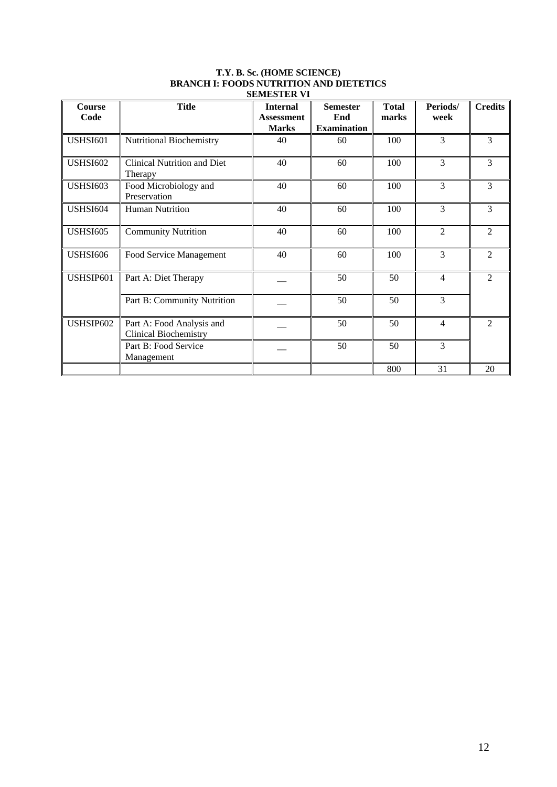| <b>Course</b><br>Code | <b>Title</b>                                              | <b>Internal</b><br><b>Assessment</b> | <b>Semester</b><br>End | <b>Total</b><br>marks | Periods/<br>week | <b>Credits</b> |
|-----------------------|-----------------------------------------------------------|--------------------------------------|------------------------|-----------------------|------------------|----------------|
|                       |                                                           | <b>Marks</b>                         | <b>Examination</b>     |                       |                  |                |
| <b>USHSI601</b>       | <b>Nutritional Biochemistry</b>                           | 40                                   | 60                     | 100                   | 3                | 3              |
| <b>USHSI602</b>       | <b>Clinical Nutrition and Diet</b><br>Therapy             | 40                                   | 60                     | 100                   | 3                | 3              |
| <b>USHSI603</b>       | Food Microbiology and<br>Preservation                     | 40                                   | 60                     | 100                   | 3                | 3              |
| <b>USHSI604</b>       | <b>Human Nutrition</b>                                    | 40                                   | 60                     | 100                   | 3                | 3              |
| <b>USHSI605</b>       | <b>Community Nutrition</b>                                | 40                                   | 60                     | 100                   | $\overline{2}$   | $\overline{2}$ |
| <b>USHSI606</b>       | Food Service Management                                   | 40                                   | 60                     | 100                   | 3                | $\overline{2}$ |
| USHSIP601             | Part A: Diet Therapy                                      |                                      | 50                     | 50                    | $\overline{4}$   | $\mathfrak{D}$ |
|                       | Part B: Community Nutrition                               |                                      | 50                     | 50                    | 3                |                |
| USHSIP602             | Part A: Food Analysis and<br><b>Clinical Biochemistry</b> |                                      | 50                     | 50                    | 4                | $\overline{2}$ |
|                       | Part B: Food Service<br>Management                        |                                      | 50                     | 50                    | 3                |                |
|                       |                                                           |                                      |                        | 800                   | 31               | 20             |

# **T.Y. B. Sc. (HOME SCIENCE) BRANCH I: FOODS NUTRITION AND DIETETICS SEMESTER VI**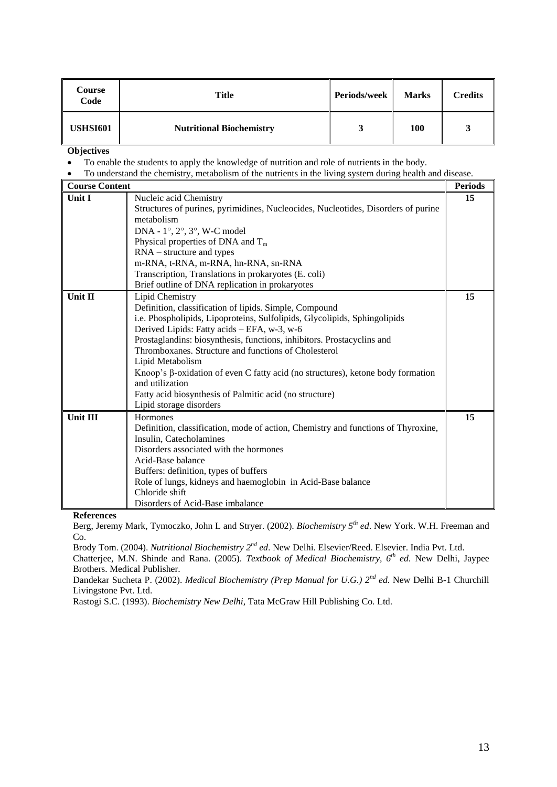| Course<br>Code  | Title                           | Periods/week | <b>Marks</b> | <b>Credits</b> |
|-----------------|---------------------------------|--------------|--------------|----------------|
| <b>USHSI601</b> | <b>Nutritional Biochemistry</b> |              | 100          |                |

- To enable the students to apply the knowledge of nutrition and role of nutrients in the body.
- To understand the chemistry, metabolism of the nutrients in the living system during health and disease.

| <b>Course Content</b> |                                                                                                    | <b>Periods</b> |
|-----------------------|----------------------------------------------------------------------------------------------------|----------------|
| <b>Unit I</b>         | Nucleic acid Chemistry                                                                             | 15             |
|                       | Structures of purines, pyrimidines, Nucleocides, Nucleotides, Disorders of purine                  |                |
|                       | metabolism                                                                                         |                |
|                       | DNA - 1°, 2°, 3°, W-C model                                                                        |                |
|                       | Physical properties of DNA and $T_m$                                                               |                |
|                       | $RNA - structure$ and types                                                                        |                |
|                       | m-RNA, t-RNA, m-RNA, hn-RNA, sn-RNA                                                                |                |
|                       | Transcription, Translations in prokaryotes (E. coli)                                               |                |
|                       | Brief outline of DNA replication in prokaryotes                                                    |                |
| Unit II               | Lipid Chemistry                                                                                    | 15             |
|                       | Definition, classification of lipids. Simple, Compound                                             |                |
|                       | i.e. Phospholipids, Lipoproteins, Sulfolipids, Glycolipids, Sphingolipids                          |                |
|                       | Derived Lipids: Fatty acids – EFA, w-3, w-6                                                        |                |
|                       | Prostaglandins: biosynthesis, functions, inhibitors. Prostacyclins and                             |                |
|                       | Thromboxanes. Structure and functions of Cholesterol                                               |                |
|                       | Lipid Metabolism                                                                                   |                |
|                       | Knoop's β-oxidation of even C fatty acid (no structures), ketone body formation<br>and utilization |                |
|                       | Fatty acid biosynthesis of Palmitic acid (no structure)                                            |                |
|                       | Lipid storage disorders                                                                            |                |
| <b>Unit III</b>       | Hormones                                                                                           | 15             |
|                       | Definition, classification, mode of action, Chemistry and functions of Thyroxine,                  |                |
|                       | Insulin, Catecholamines                                                                            |                |
|                       | Disorders associated with the hormones                                                             |                |
|                       | Acid-Base balance                                                                                  |                |
|                       | Buffers: definition, types of buffers                                                              |                |
|                       | Role of lungs, kidneys and haemoglobin in Acid-Base balance                                        |                |
|                       | Chloride shift                                                                                     |                |
|                       | Disorders of Acid-Base imbalance                                                                   |                |

**References**

Berg, Jeremy Mark, Tymoczko, John L and Stryer. (2002). *Biochemistry 5th ed*. New York. W.H. Freeman and Co.

Brody Tom. (2004). *Nutritional Biochemistry 2nd ed*. New Delhi. Elsevier/Reed. Elsevier. India Pvt. Ltd.

Chatterjee, M.N. Shinde and Rana. (2005). *Textbook of Medical Biochemistry, 6th ed*. New Delhi, Jaypee Brothers. Medical Publisher.

Dandekar Sucheta P. (2002). *Medical Biochemistry (Prep Manual for U.G.) 2nd ed*. New Delhi B-1 Churchill Livingstone Pvt. Ltd.

Rastogi S.C. (1993). *Biochemistry New Delhi*, Tata McGraw Hill Publishing Co. Ltd.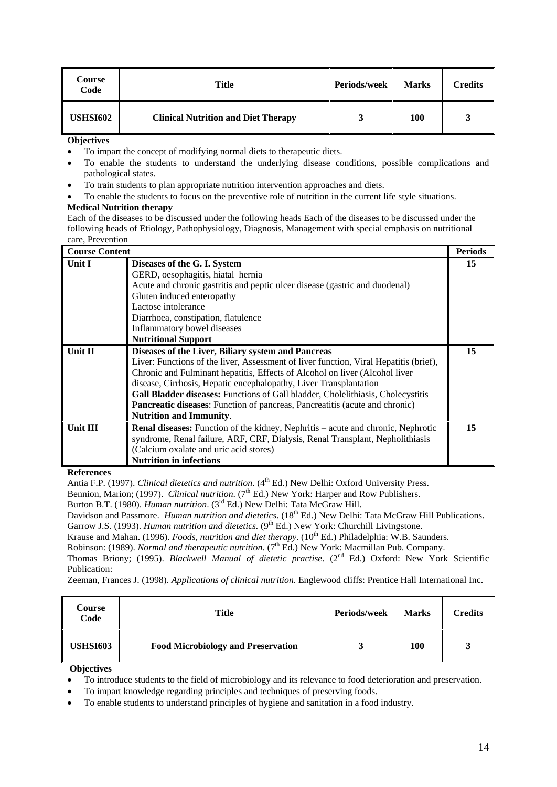| Course<br>Code  | Title                                      | <b>Periods/week</b> | <b>Marks</b> | Credits |
|-----------------|--------------------------------------------|---------------------|--------------|---------|
| <b>USHSI602</b> | <b>Clinical Nutrition and Diet Therapy</b> | A.                  | 100          |         |

- To impart the concept of modifying normal diets to therapeutic diets.
- To enable the students to understand the underlying disease conditions, possible complications and pathological states.
- To train students to plan appropriate nutrition intervention approaches and diets.
- To enable the students to focus on the preventive role of nutrition in the current life style situations.

# **Medical Nutrition therapy**

Each of the diseases to be discussed under the following heads Each of the diseases to be discussed under the following heads of Etiology, Pathophysiology, Diagnosis, Management with special emphasis on nutritional care, Prevention

| <b>Course Content</b> |                                                                                         | <b>Periods</b> |
|-----------------------|-----------------------------------------------------------------------------------------|----------------|
| Unit I                | Diseases of the G. I. System                                                            | 15             |
|                       | GERD, oesophagitis, hiatal hernia                                                       |                |
|                       | Acute and chronic gastritis and peptic ulcer disease (gastric and duodenal)             |                |
|                       | Gluten induced enteropathy                                                              |                |
|                       | Lactose intolerance                                                                     |                |
|                       | Diarrhoea, constipation, flatulence                                                     |                |
|                       | Inflammatory bowel diseases                                                             |                |
|                       | <b>Nutritional Support</b>                                                              |                |
| <b>Unit II</b>        | Diseases of the Liver, Biliary system and Pancreas                                      | 15             |
|                       | Liver: Functions of the liver, Assessment of liver function, Viral Hepatitis (brief),   |                |
|                       | Chronic and Fulminant hepatitis, Effects of Alcohol on liver (Alcohol liver             |                |
|                       | disease, Cirrhosis, Hepatic encephalopathy, Liver Transplantation                       |                |
|                       | Gall Bladder diseases: Functions of Gall bladder, Cholelithiasis, Cholecystitis         |                |
|                       | <b>Pancreatic diseases:</b> Function of pancreas, Pancreatitis (acute and chronic)      |                |
|                       | <b>Nutrition and Immunity.</b>                                                          |                |
| Unit III              | <b>Renal diseases:</b> Function of the kidney, Nephritis – acute and chronic, Nephrotic | 15             |
|                       | syndrome, Renal failure, ARF, CRF, Dialysis, Renal Transplant, Nepholithiasis           |                |
|                       | (Calcium oxalate and uric acid stores)                                                  |                |
|                       | <b>Nutrition in infections</b>                                                          |                |

## **References**

Antia F.P. (1997). *Clinical dietetics and nutrition*. (4<sup>th</sup> Ed.) New Delhi: Oxford University Press.

Bennion, Marion; (1997). *Clinical nutrition*. (7<sup>th</sup> Ed.) New York: Harper and Row Publishers.

Burton B.T. (1980). *Human nutrition*. (3rd Ed.) New Delhi: Tata McGraw Hill.

Davidson and Passmore. *Human nutrition and dietetics*. (18<sup>th</sup> Ed.) New Delhi: Tata McGraw Hill Publications.

Garrow J.S. (1993). *Human nutrition and dietetics*. (9<sup>th</sup> Ed.) New York: Churchill Livingstone. Krause and Mahan. (1996). *Foods, nutrition and diet therapy*. (10<sup>th</sup> Ed.) Philadelphia: W.B. Saunders.

Robinson: (1989). *Normal and therapeutic nutrition*. (7<sup>th</sup> Ed.) New York: Macmillan Pub. Company.

Thomas Briony; (1995). *Blackwell Manual of dietetic practise*. (2nd Ed.) Oxford: New York Scientific Publication:

Zeeman, Frances J. (1998). *Applications of clinical nutrition*. Englewood cliffs: Prentice Hall International Inc.

| Course<br>Code  | Title                                     | Periods/week | <b>Marks</b> | <b>Credits</b> |
|-----------------|-------------------------------------------|--------------|--------------|----------------|
| <b>USHSI603</b> | <b>Food Microbiology and Preservation</b> |              | 100          |                |

- To introduce students to the field of microbiology and its relevance to food deterioration and preservation.
- To impart knowledge regarding principles and techniques of preserving foods.
- To enable students to understand principles of hygiene and sanitation in a food industry.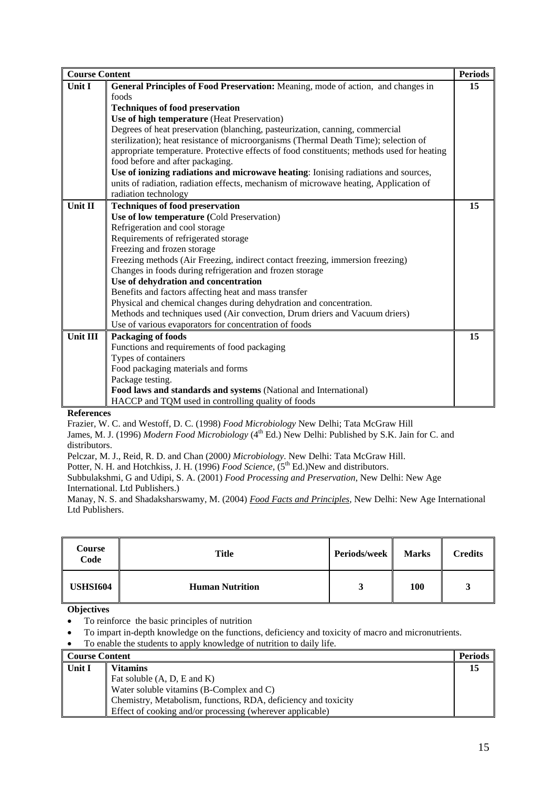| <b>Course Content</b> |                                                                                            | <b>Periods</b> |
|-----------------------|--------------------------------------------------------------------------------------------|----------------|
| Unit I                | General Principles of Food Preservation: Meaning, mode of action, and changes in           | 15             |
|                       | foods                                                                                      |                |
|                       | <b>Techniques of food preservation</b>                                                     |                |
|                       | Use of high temperature (Heat Preservation)                                                |                |
|                       | Degrees of heat preservation (blanching, pasteurization, canning, commercial               |                |
|                       | sterilization); heat resistance of microorganisms (Thermal Death Time); selection of       |                |
|                       | appropriate temperature. Protective effects of food constituents; methods used for heating |                |
|                       | food before and after packaging.                                                           |                |
|                       | Use of ionizing radiations and microwave heating: Ionising radiations and sources,         |                |
|                       | units of radiation, radiation effects, mechanism of microwave heating, Application of      |                |
|                       | radiation technology                                                                       |                |
| Unit II               | <b>Techniques of food preservation</b>                                                     | 15             |
|                       | Use of low temperature (Cold Preservation)                                                 |                |
|                       | Refrigeration and cool storage                                                             |                |
|                       | Requirements of refrigerated storage                                                       |                |
|                       | Freezing and frozen storage                                                                |                |
|                       | Freezing methods (Air Freezing, indirect contact freezing, immersion freezing)             |                |
|                       | Changes in foods during refrigeration and frozen storage                                   |                |
|                       | Use of dehydration and concentration                                                       |                |
|                       | Benefits and factors affecting heat and mass transfer                                      |                |
|                       | Physical and chemical changes during dehydration and concentration.                        |                |
|                       | Methods and techniques used (Air convection, Drum driers and Vacuum driers)                |                |
|                       | Use of various evaporators for concentration of foods                                      |                |
| Unit III              | Packaging of foods                                                                         | 15             |
|                       | Functions and requirements of food packaging                                               |                |
|                       | Types of containers                                                                        |                |
|                       | Food packaging materials and forms                                                         |                |
|                       | Package testing.                                                                           |                |
|                       | Food laws and standards and systems (National and International)                           |                |
|                       | HACCP and TQM used in controlling quality of foods                                         |                |

Frazier, W. C. and Westoff, D. C. (1998) *Food Microbiology* New Delhi; Tata McGraw Hill

James, M. J. (1996) *Modern Food Microbiology* (4<sup>th</sup> Ed.) New Delhi: Published by S.K. Jain for C. and distributors.

Pelczar, M. J., Reid, R. D. and Chan (2000*) Microbiology*. New Delhi: Tata McGraw Hill.

Potter, N. H. and Hotchkiss, J. H. (1996) *Food Science*, (5<sup>th</sup> Ed.)New and distributors.

Subbulakshmi, G and Udipi, S. A. (2001) *Food Processing and Preservation*, New Delhi: New Age International. Ltd Publishers.)

Manay, N. S. and Shadaksharswamy, M. (2004) *Food Facts and Principles,* New Delhi: New Age International Ltd Publishers.

| Course<br>Code  | Title                  | Periods/week | <b>Marks</b> | <b>Credits</b> |
|-----------------|------------------------|--------------|--------------|----------------|
| <b>USHSI604</b> | <b>Human Nutrition</b> | 3            | 100          | 2<br>ັ         |

- To reinforce the basic principles of nutrition
- To impart in-depth knowledge on the functions, deficiency and toxicity of macro and micronutrients.
- To enable the students to apply knowledge of nutrition to daily life.

| <b>Course Content</b> |                                                                | Periods |
|-----------------------|----------------------------------------------------------------|---------|
| Unit I                | <b>Vitamins</b>                                                |         |
|                       | Fat soluble $(A, D, E \text{ and } K)$                         |         |
|                       | Water soluble vitamins (B-Complex and C)                       |         |
|                       | Chemistry, Metabolism, functions, RDA, deficiency and toxicity |         |
|                       | Effect of cooking and/or processing (wherever applicable)      |         |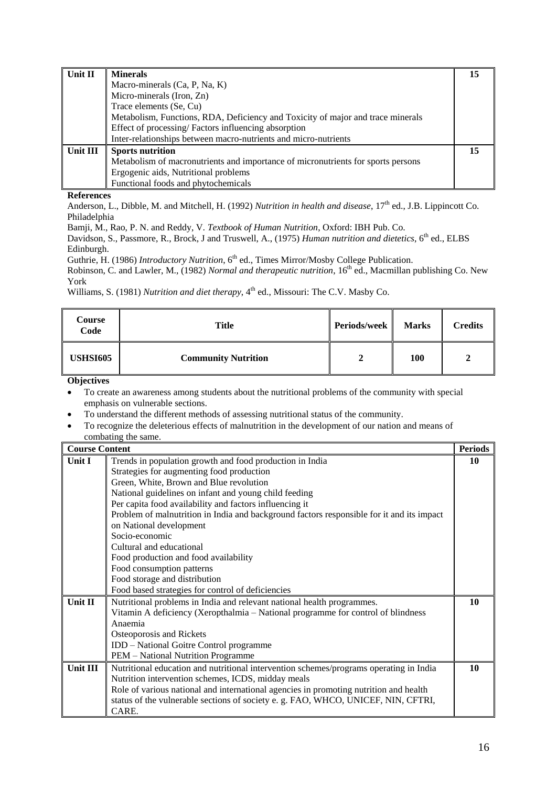| 15                                                                               | Unit II  |
|----------------------------------------------------------------------------------|----------|
| Macro-minerals (Ca, P, Na, K)                                                    |          |
|                                                                                  |          |
|                                                                                  |          |
| Metabolism, Functions, RDA, Deficiency and Toxicity of major and trace minerals  |          |
| Effect of processing/Factors influencing absorption                              |          |
| Inter-relationships between macro-nutrients and micro-nutrients                  |          |
| 15                                                                               | Unit III |
| Metabolism of macronutrients and importance of micronutrients for sports persons |          |
| Ergogenic aids, Nutritional problems                                             |          |
| Functional foods and phytochemicals                                              |          |
|                                                                                  |          |

Anderson, L., Dibble, M. and Mitchell, H. (1992) *Nutrition in health and disease*, 17<sup>th</sup> ed., J.B. Lippincott Co. Philadelphia

Bamji, M., Rao, P. N. and Reddy, V. *Textbook of Human Nutrition*, Oxford: IBH Pub. Co.

Davidson, S., Passmore, R., Brock, J and Truswell, A., (1975) *Human nutrition and dietetics*, 6<sup>th</sup> ed., ELBS Edinburgh.

Guthrie, H. (1986) *Introductory Nutrition*, 6<sup>th</sup> ed., Times Mirror/Mosby College Publication.

Robinson, C. and Lawler, M., (1982) *Normal and therapeutic nutrition*, 16<sup>th</sup> ed., Macmillan publishing Co. New York

Williams, S. (1981) *Nutrition and diet therapy*, 4<sup>th</sup> ed., Missouri: The C.V. Masby Co.

| Course<br>Code  | <b>Title</b>               | Periods/week | <b>Marks</b> | <b>Credits</b> |
|-----------------|----------------------------|--------------|--------------|----------------|
| <b>USHSI605</b> | <b>Community Nutrition</b> |              | 100          |                |

- To create an awareness among students about the nutritional problems of the community with special emphasis on vulnerable sections.
- To understand the different methods of assessing nutritional status of the community.
- To recognize the deleterious effects of malnutrition in the development of our nation and means of combating the same.

| <b>Course Content</b> |                                                                                           | <b>Periods</b> |
|-----------------------|-------------------------------------------------------------------------------------------|----------------|
| Unit I                | Trends in population growth and food production in India                                  | 10             |
|                       | Strategies for augmenting food production                                                 |                |
|                       | Green, White, Brown and Blue revolution                                                   |                |
|                       | National guidelines on infant and young child feeding                                     |                |
|                       | Per capita food availability and factors influencing it                                   |                |
|                       | Problem of malnutrition in India and background factors responsible for it and its impact |                |
|                       | on National development                                                                   |                |
|                       | Socio-economic                                                                            |                |
|                       | Cultural and educational                                                                  |                |
|                       | Food production and food availability                                                     |                |
|                       | Food consumption patterns                                                                 |                |
|                       | Food storage and distribution                                                             |                |
|                       | Food based strategies for control of deficiencies                                         |                |
| Unit II               | Nutritional problems in India and relevant national health programmes.                    | 10             |
|                       | Vitamin A deficiency (Xeropthalmia - National programme for control of blindness          |                |
|                       | Anaemia                                                                                   |                |
|                       | Osteoporosis and Rickets                                                                  |                |
|                       | IDD - National Goitre Control programme                                                   |                |
|                       | PEM - National Nutrition Programme                                                        |                |
| Unit III              | Nutritional education and nutritional intervention schemes/programs operating in India    | 10             |
|                       | Nutrition intervention schemes, ICDS, midday meals                                        |                |
|                       | Role of various national and international agencies in promoting nutrition and health     |                |
|                       | status of the vulnerable sections of society e.g. FAO, WHCO, UNICEF, NIN, CFTRI,          |                |
|                       | CARE.                                                                                     |                |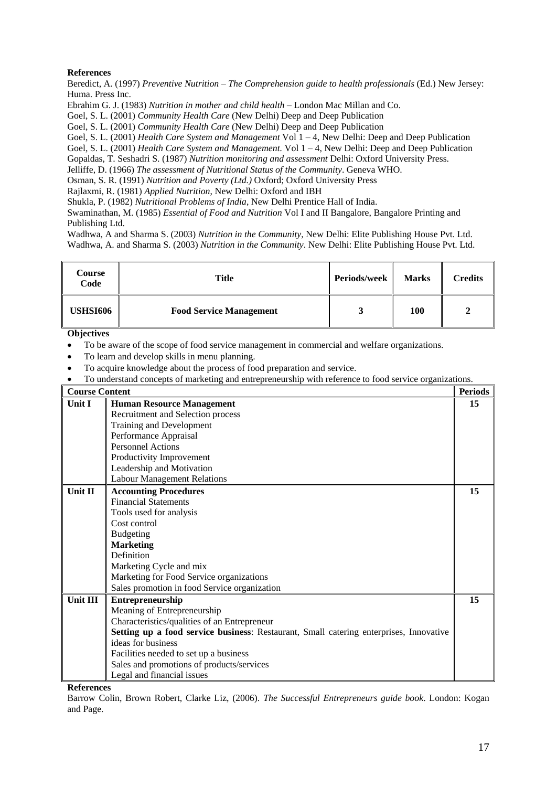Beredict, A. (1997) *Preventive Nutrition – The Comprehension guide to health professionals* (Ed.) New Jersey: Huma. Press Inc.

Ebrahim G. J. (1983) *Nutrition in mother and child health* – London Mac Millan and Co.

Goel, S. L. (2001) *Community Health Care* (New Delhi) Deep and Deep Publication

Goel, S. L. (2001) *Community Health Care* (New Delhi) Deep and Deep Publication

Goel, S. L. (2001) *Health Care System and Management* Vol 1 – 4, New Delhi: Deep and Deep Publication

Goel, S. L. (2001) *Health Care System and Management.* Vol 1 – 4, New Delhi: Deep and Deep Publication

Gopaldas, T. Seshadri S. (1987) *Nutrition monitoring and assessment* Delhi: Oxford University Press.

Jelliffe, D. (1966) *The assessment of Nutritional Status of the Community*. Geneva WHO.

Osman, S. R. (1991) *Nutrition and Poverty (Ltd.)* Oxford; Oxford University Press

Rajlaxmi, R. (1981) *Applied Nutrition*, New Delhi: Oxford and IBH

Shukla, P. (1982) *Nutritional Problems of India*, New Delhi Prentice Hall of India.

Swaminathan, M. (1985) *Essential of Food and Nutrition* Vol I and II Bangalore, Bangalore Printing and Publishing Ltd.

Wadhwa, A and Sharma S. (2003) *Nutrition in the Community*, New Delhi: Elite Publishing House Pvt. Ltd. Wadhwa, A. and Sharma S. (2003) *Nutrition in the Community*. New Delhi: Elite Publishing House Pvt. Ltd.

| Course<br>Code  | Title                          | Periods/week | <b>Marks</b> | <b>Credits</b> |
|-----------------|--------------------------------|--------------|--------------|----------------|
| <b>USHSI606</b> | <b>Food Service Management</b> | د.           | <b>100</b>   | Ω,             |

**Objectives**

- To be aware of the scope of food service management in commercial and welfare organizations.
- To learn and develop skills in menu planning.
- To acquire knowledge about the process of food preparation and service.
- To understand concepts of marketing and entrepreneurship with reference to food service organizations.

| <b>Course Content</b> |                                                                                        | <b>Periods</b> |
|-----------------------|----------------------------------------------------------------------------------------|----------------|
| <b>Unit I</b>         | <b>Human Resource Management</b>                                                       | 15             |
|                       | Recruitment and Selection process                                                      |                |
|                       | Training and Development                                                               |                |
|                       | Performance Appraisal                                                                  |                |
|                       | <b>Personnel Actions</b>                                                               |                |
|                       | Productivity Improvement                                                               |                |
|                       | Leadership and Motivation                                                              |                |
|                       | <b>Labour Management Relations</b>                                                     |                |
| <b>Unit II</b>        | <b>Accounting Procedures</b>                                                           | 15             |
|                       | <b>Financial Statements</b>                                                            |                |
|                       | Tools used for analysis                                                                |                |
|                       | Cost control                                                                           |                |
|                       | <b>Budgeting</b>                                                                       |                |
|                       | <b>Marketing</b>                                                                       |                |
|                       | Definition                                                                             |                |
|                       | Marketing Cycle and mix                                                                |                |
|                       | Marketing for Food Service organizations                                               |                |
|                       | Sales promotion in food Service organization                                           |                |
| Unit III              | Entrepreneurship                                                                       | 15             |
|                       | Meaning of Entrepreneurship                                                            |                |
|                       | Characteristics/qualities of an Entrepreneur                                           |                |
|                       | Setting up a food service business: Restaurant, Small catering enterprises, Innovative |                |
|                       | ideas for business                                                                     |                |
|                       | Facilities needed to set up a business                                                 |                |
|                       | Sales and promotions of products/services                                              |                |
|                       | Legal and financial issues                                                             |                |

**References**

Barrow Colin, Brown Robert, Clarke Liz, (2006). *The Successful Entrepreneurs guide book*. London: Kogan and Page.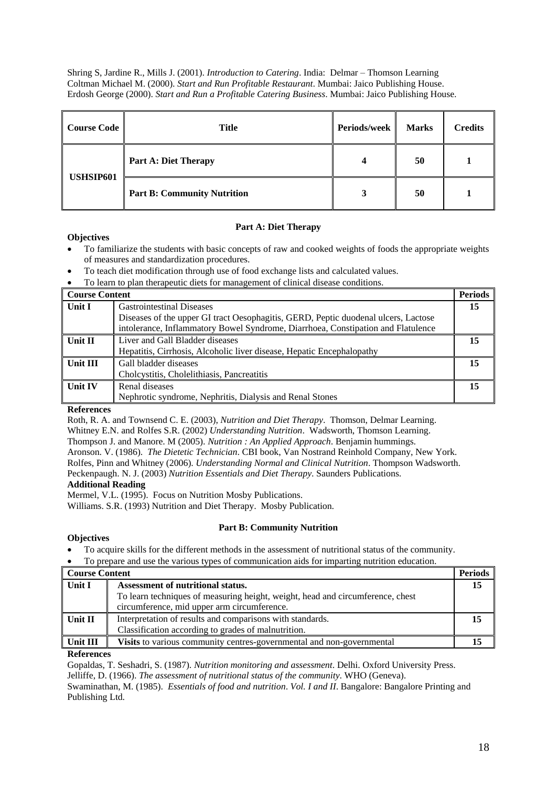Shring S, Jardine R., Mills J. (2001). *Introduction to Catering*. India: Delmar – Thomson Learning Coltman Michael M. (2000). *Start and Run Profitable Restaurant*. Mumbai: Jaico Publishing House. Erdosh George (2000). *Start and Run a Profitable Catering Business*. Mumbai: Jaico Publishing House.

| Course Code | <b>Title</b>                       | Periods/week | <b>Marks</b> | <b>Credits</b> |
|-------------|------------------------------------|--------------|--------------|----------------|
| USHSIP601   | <b>Part A: Diet Therapy</b>        | Δ            | 50           |                |
|             | <b>Part B: Community Nutrition</b> | 3            | 50           |                |

# **Part A: Diet Therapy**

# **Objectives**

- To familiarize the students with basic concepts of raw and cooked weights of foods the appropriate weights of measures and standardization procedures.
- To teach diet modification through use of food exchange lists and calculated values.
- To learn to plan therapeutic diets for management of clinical disease conditions.

| <b>Course Content</b> |                                                                                    | <b>Periods</b> |
|-----------------------|------------------------------------------------------------------------------------|----------------|
| Unit I                | <b>Gastrointestinal Diseases</b>                                                   | 15             |
|                       | Diseases of the upper GI tract Oesophagitis, GERD, Peptic duodenal ulcers, Lactose |                |
|                       | intolerance, Inflammatory Bowel Syndrome, Diarrhoea, Constipation and Flatulence   |                |
| Unit II               | Liver and Gall Bladder diseases                                                    | 15             |
|                       | Hepatitis, Cirrhosis, Alcoholic liver disease, Hepatic Encephalopathy              |                |
| <b>Unit III</b>       | Gall bladder diseases                                                              | 15             |
|                       | Cholcystitis, Cholelithiasis, Pancreatitis                                         |                |
| <b>Unit IV</b>        | Renal diseases                                                                     | 15             |
|                       | Nephrotic syndrome, Nephritis, Dialysis and Renal Stones                           |                |

# **References**

Roth, R. A. and Townsend C. E. (2003), *Nutrition and Diet Therapy*. Thomson, Delmar Learning.

Whitney E.N. and Rolfes S.R. (2002) *Understanding Nutrition*. Wadsworth, Thomson Learning.

Thompson J. and Manore. M (2005). *Nutrition : An Applied Approach*. Benjamin hummings.

Aronson. V. (1986). *The Dietetic Technician*. CBI book, Van Nostrand Reinhold Company, New York. Rolfes, Pinn and Whitney (2006). *Understanding Normal and Clinical Nutrition*. Thompson Wadsworth. Peckenpaugh. N. J. (2003) *Nutrition Essentials and Diet Therapy*. Saunders Publications.

## **Additional Reading**

Mermel, V.L. (1995). Focus on Nutrition Mosby Publications.

Williams. S.R. (1993) Nutrition and Diet Therapy. Mosby Publication.

# **Part B: Community Nutrition**

## **Objectives**

- To acquire skills for the different methods in the assessment of nutritional status of the community.
- To prepare and use the various types of communication aids for imparting nutrition education.

| <b>Course Content</b> |                                                                                | <b>Periods</b> |
|-----------------------|--------------------------------------------------------------------------------|----------------|
| Unit I                | Assessment of nutritional status.                                              | 15             |
|                       | To learn techniques of measuring height, weight, head and circumference, chest |                |
|                       | circumference, mid upper arm circumference.                                    |                |
| Unit II               | Interpretation of results and comparisons with standards.                      | 15             |
|                       | Classification according to grades of malnutrition.                            |                |
| Unit III              | <b>Visits</b> to various community centres-governmental and non-governmental   |                |

## **References**

Gopaldas, T. Seshadri, S. (1987). *Nutrition monitoring and assessment*. Delhi. Oxford University Press. Jelliffe, D. (1966). *The assessment of nutritional status of the community*. WHO (Geneva).

Swaminathan, M. (1985). *Essentials of food and nutrition*. *Vol. I and II*. Bangalore: Bangalore Printing and Publishing Ltd.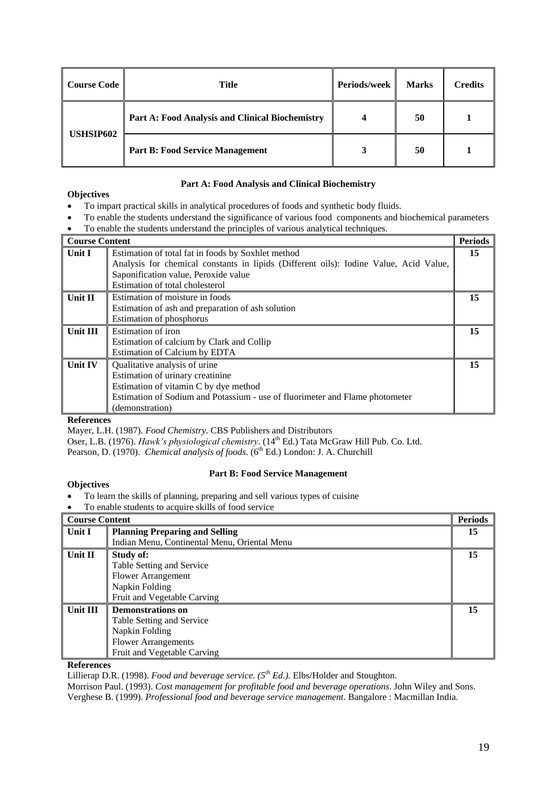| Course Code      | Title                                           | Periods/week | <b>Marks</b> | <b>Credits</b> |
|------------------|-------------------------------------------------|--------------|--------------|----------------|
|                  | Part A: Food Analysis and Clinical Biochemistry |              | 50           |                |
| <b>USHSIP602</b> | <b>Part B: Food Service Management</b>          |              | 50           |                |

# **Part A: Food Analysis and Clinical Biochemistry**

- To impart practical skills in analytical procedures of foods and synthetic body fluids.
- To enable the students understand the significance of various food components and biochemical parameters
- To enable the students understand the principles of various analytical techniques.

| <b>Course Content</b> |                                                                                       | <b>Periods</b> |
|-----------------------|---------------------------------------------------------------------------------------|----------------|
| Unit I                | Estimation of total fat in foods by Soxhlet method                                    | 15             |
|                       | Analysis for chemical constants in lipids (Different oils): Iodine Value, Acid Value, |                |
|                       | Saponification value, Peroxide value                                                  |                |
|                       | Estimation of total cholesterol                                                       |                |
| <b>Unit II</b>        | Estimation of moisture in foods                                                       | 15             |
|                       | Estimation of ash and preparation of ash solution                                     |                |
|                       | Estimation of phosphorus                                                              |                |
| <b>Unit III</b>       | Estimation of iron                                                                    | 15             |
|                       | Estimation of calcium by Clark and Collip                                             |                |
|                       | Estimation of Calcium by EDTA                                                         |                |
| Unit IV               | Qualitative analysis of urine                                                         | 15             |
|                       | Estimation of urinary creatinine                                                      |                |
|                       | Estimation of vitamin C by dye method                                                 |                |
|                       | Estimation of Sodium and Potassium - use of fluorimeter and Flame photometer          |                |
|                       | (demonstration)                                                                       |                |

## **References**

**Objectives**

Mayer, L.H. (1987). *Food Chemistry*. CBS Publishers and Distributors

Oser, L.B. (1976). *Hawk's physiological chemistry*. (14<sup>th</sup> Ed.) Tata McGraw Hill Pub. Co. Ltd.

Pearson, D. (1970). *Chemical analysis of foods*. (6<sup>th</sup> Ed.) London: J. A. Churchill

# **Part B: Food Service Management**

- To learn the skills of planning, preparing and sell various types of cuisine
- To enable students to acquire skills of food service

| <b>Course Content</b> |                                              | <b>Periods</b> |
|-----------------------|----------------------------------------------|----------------|
| Unit I                | <b>Planning Preparing and Selling</b>        | 15             |
|                       | Indian Menu, Continental Menu, Oriental Menu |                |
| Unit II               | <b>Study of:</b>                             | 15             |
|                       | Table Setting and Service                    |                |
|                       | <b>Flower Arrangement</b>                    |                |
|                       | Napkin Folding                               |                |
|                       | Fruit and Vegetable Carving                  |                |
| Unit III              | <b>Demonstrations on</b>                     | 15             |
|                       | Table Setting and Service                    |                |
|                       | Napkin Folding                               |                |
|                       | <b>Flower Arrangements</b>                   |                |
|                       | Fruit and Vegetable Carving                  |                |

# **References**

Lillierap D.R. (1998). *Food and beverage service. (5th Ed.).* Elbs/Holder and Stoughton.

Morrison Paul. (1993). *Cost management for profitable food and beverage operations*. John Wiley and Sons. Verghese B. (1999). *Professional food and beverage service management*. Bangalore : Macmillan India.